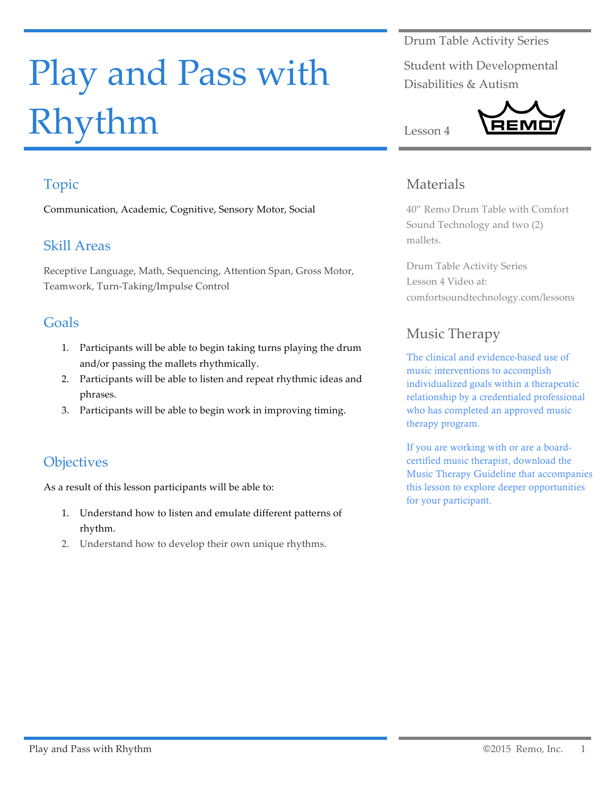# Play and Pass with Rhythm

# Topic

Communication, Academic, Cognitive, Sensory Motor, Social

# Skill Areas

Receptive Language, Math, Sequencing, Attention Span, Gross Motor, Teamwork, Turn-Taking/Impulse Control

### Goals

- 1. Participants will be able to begin taking turns playing the drum and/or passing the mallets rhythmically.
- 2. Participants will be able to listen and repeat rhythmic ideas and phrases.
- 3. Participants will be able to begin work in improving timing.

# **Objectives**

As a result of this lesson participants will be able to:

- 1. Understand how to listen and emulate different patterns of rhythm.
- 2. Understand how to develop their own unique rhythms.

Drum Table Activity Series

Student with Developmental Disabilities & Autism



## Materials

40" Remo Drum Table with Comfort Sound Technology and two (2) mallets.

Drum Table Activity Series Lesson 4 Video at: comfortsoundtechnology.com/lessons

# Music Therapy

The clinical and evidence-based use of music interventions to accomplish individualized goals within a therapeutic relationship by a credentialed professional who has completed an approved music therapy program.

If you are working with or are a boardcertified music therapist, download the Music Therapy Guideline that accompanies this lesson to explore deeper opportunities for your participant.